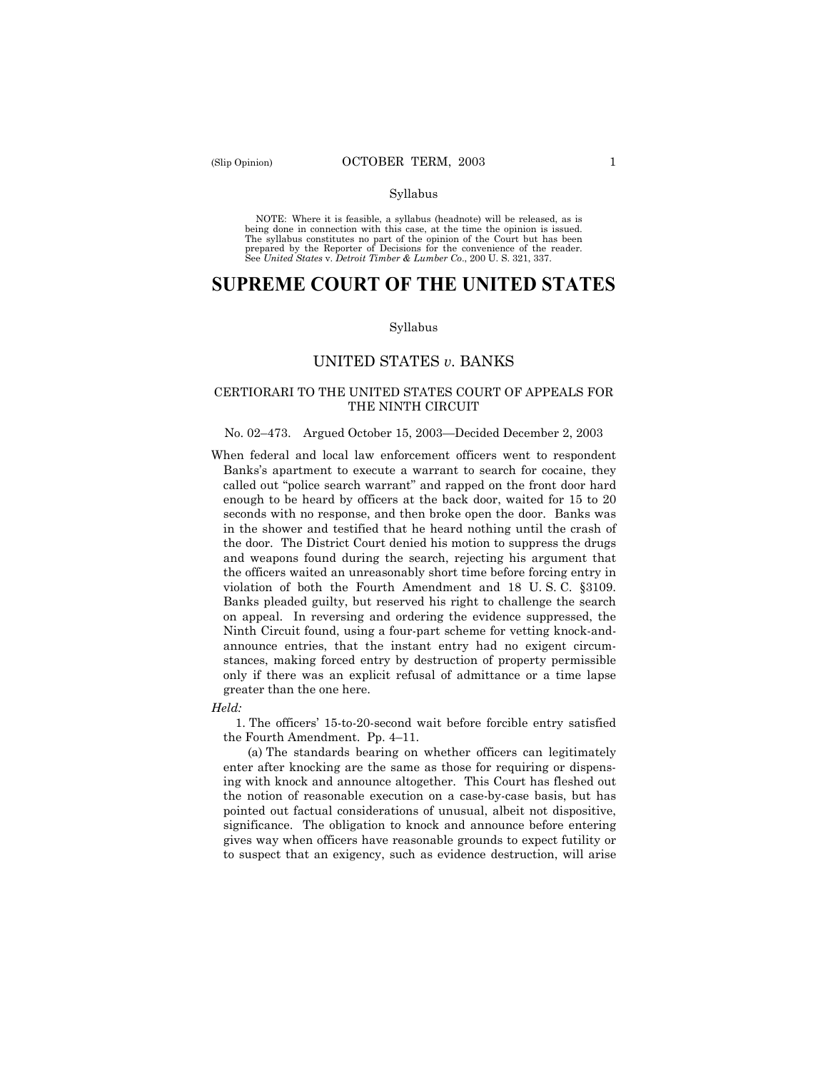#### Syllabus

NOTE: Where it is feasible, a syllabus (headnote) will be released, as is being done in connection with this case, at the time the opinion is issued. The syllabus constitutes no part of the opinion of the Court but has been<br>prepared by the Reporter of Decisions for the convenience of the reader.<br>See United States v. Detroit Timber & Lumber Co., 200 U. S. 321, 337.

# **SUPREME COURT OF THE UNITED STATES**

#### Syllabus

## UNITED STATES *v.* BANKS

## CERTIORARI TO THE UNITED STATES COURT OF APPEALS FOR THE NINTH CIRCUIT

#### No. 02–473. Argued October 15, 2003—Decided December 2, 2003

When federal and local law enforcement officers went to respondent Banks's apartment to execute a warrant to search for cocaine, they called out "police search warrant" and rapped on the front door hard enough to be heard by officers at the back door, waited for 15 to 20 seconds with no response, and then broke open the door. Banks was in the shower and testified that he heard nothing until the crash of the door. The District Court denied his motion to suppress the drugs and weapons found during the search, rejecting his argument that the officers waited an unreasonably short time before forcing entry in violation of both the Fourth Amendment and 18 U. S. C. §3109. Banks pleaded guilty, but reserved his right to challenge the search on appeal. In reversing and ordering the evidence suppressed, the Ninth Circuit found, using a four-part scheme for vetting knock-andannounce entries, that the instant entry had no exigent circumstances, making forced entry by destruction of property permissible only if there was an explicit refusal of admittance or a time lapse greater than the one here.

#### *Held:*

1. The officers' 15-to-20-second wait before forcible entry satisfied the Fourth Amendment. Pp. 4–11.

(a) The standards bearing on whether officers can legitimately enter after knocking are the same as those for requiring or dispensing with knock and announce altogether. This Court has fleshed out the notion of reasonable execution on a case-by-case basis, but has pointed out factual considerations of unusual, albeit not dispositive, significance. The obligation to knock and announce before entering gives way when officers have reasonable grounds to expect futility or to suspect that an exigency, such as evidence destruction, will arise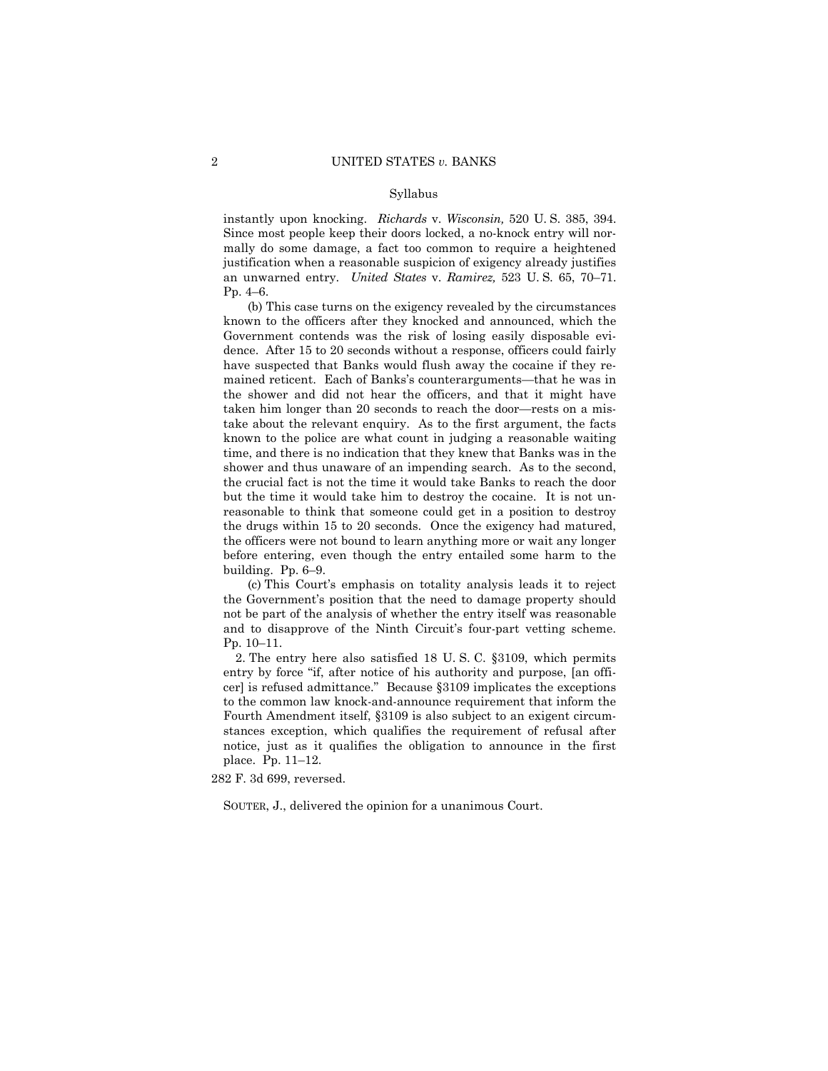#### Syllabus

instantly upon knocking. *Richards* v. *Wisconsin,* 520 U. S. 385, 394. Since most people keep their doors locked, a no-knock entry will normally do some damage, a fact too common to require a heightened justification when a reasonable suspicion of exigency already justifies an unwarned entry. *United States* v. *Ramirez,* 523 U. S. 65, 70–71. Pp. 4–6.

(b) This case turns on the exigency revealed by the circumstances known to the officers after they knocked and announced, which the Government contends was the risk of losing easily disposable evidence. After 15 to 20 seconds without a response, officers could fairly have suspected that Banks would flush away the cocaine if they remained reticent. Each of Banks's counterarguments—that he was in the shower and did not hear the officers, and that it might have taken him longer than 20 seconds to reach the door—rests on a mistake about the relevant enquiry. As to the first argument, the facts known to the police are what count in judging a reasonable waiting time, and there is no indication that they knew that Banks was in the shower and thus unaware of an impending search. As to the second, the crucial fact is not the time it would take Banks to reach the door but the time it would take him to destroy the cocaine. It is not unreasonable to think that someone could get in a position to destroy the drugs within 15 to 20 seconds. Once the exigency had matured, the officers were not bound to learn anything more or wait any longer before entering, even though the entry entailed some harm to the building. Pp. 6–9.

(c) This Court's emphasis on totality analysis leads it to reject the Government's position that the need to damage property should not be part of the analysis of whether the entry itself was reasonable and to disapprove of the Ninth Circuit's four-part vetting scheme. Pp. 10–11.

2. The entry here also satisfied 18 U. S. C. §3109, which permits entry by force "if, after notice of his authority and purpose, [an officer] is refused admittance." Because §3109 implicates the exceptions to the common law knock-and-announce requirement that inform the Fourth Amendment itself, §3109 is also subject to an exigent circumstances exception, which qualifies the requirement of refusal after notice, just as it qualifies the obligation to announce in the first place. Pp. 11–12.

282 F. 3d 699, reversed.

SOUTER, J., delivered the opinion for a unanimous Court.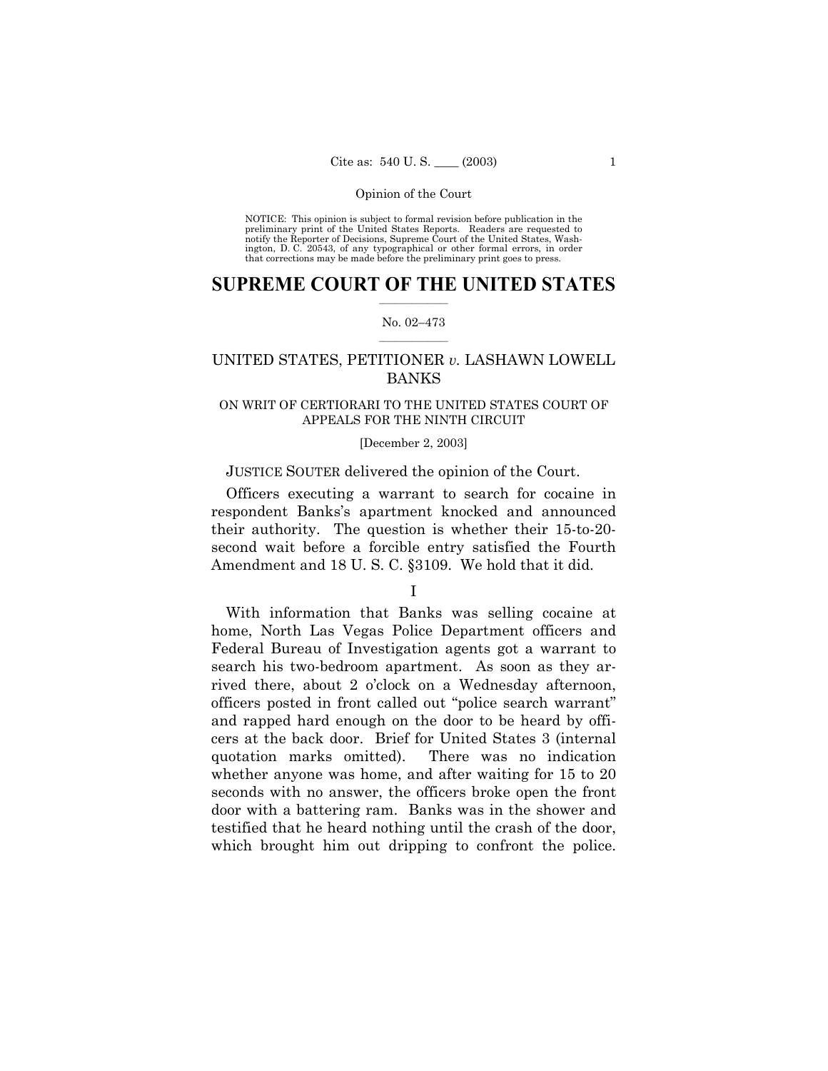NOTICE: This opinion is subject to formal revision before publication in the preliminary print of the United States Reports. Readers are requested to notify the Reporter of Decisions, Supreme Court of the United States, Wa ington, D. C. 20543, of any typographical or other formal errors, in order that corrections may be made before the preliminary print goes to press.

## **SUPREME COURT OF THE UNITED STATES**  $\frac{1}{2}$  ,  $\frac{1}{2}$  ,  $\frac{1}{2}$  ,  $\frac{1}{2}$  ,  $\frac{1}{2}$  ,  $\frac{1}{2}$

#### No. 02–473  $\frac{1}{2}$  ,  $\frac{1}{2}$  ,  $\frac{1}{2}$  ,  $\frac{1}{2}$  ,  $\frac{1}{2}$  ,  $\frac{1}{2}$  ,  $\frac{1}{2}$

## UNITED STATES, PETITIONER *v.* LASHAWN LOWELL BANKS

## ON WRIT OF CERTIORARI TO THE UNITED STATES COURT OF APPEALS FOR THE NINTH CIRCUIT

#### [December 2, 2003]

## JUSTICE SOUTER delivered the opinion of the Court.

Officers executing a warrant to search for cocaine in respondent Banks's apartment knocked and announced their authority. The question is whether their 15-to-20 second wait before a forcible entry satisfied the Fourth Amendment and 18 U. S. C. §3109. We hold that it did.

## I

With information that Banks was selling cocaine at home, North Las Vegas Police Department officers and Federal Bureau of Investigation agents got a warrant to search his two-bedroom apartment. As soon as they arrived there, about 2 o'clock on a Wednesday afternoon, officers posted in front called out "police search warrant" and rapped hard enough on the door to be heard by officers at the back door. Brief for United States 3 (internal quotation marks omitted). There was no indication whether anyone was home, and after waiting for 15 to 20 seconds with no answer, the officers broke open the front door with a battering ram. Banks was in the shower and testified that he heard nothing until the crash of the door, which brought him out dripping to confront the police.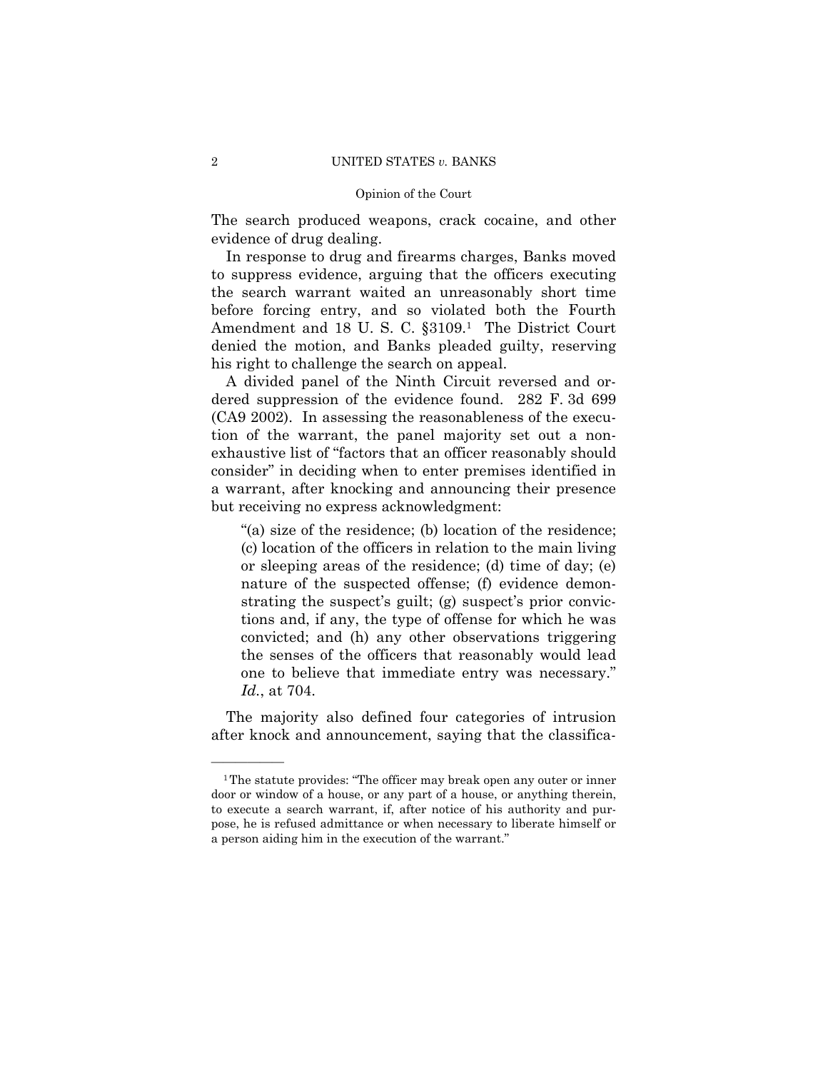The search produced weapons, crack cocaine, and other evidence of drug dealing.

In response to drug and firearms charges, Banks moved to suppress evidence, arguing that the officers executing the search warrant waited an unreasonably short time before forcing entry, and so violated both the Fourth Amendment and 18 U. S. C. §3109.1 The District Court denied the motion, and Banks pleaded guilty, reserving his right to challenge the search on appeal.

A divided panel of the Ninth Circuit reversed and ordered suppression of the evidence found. 282 F. 3d 699 (CA9 2002). In assessing the reasonableness of the execution of the warrant, the panel majority set out a nonexhaustive list of "factors that an officer reasonably should consider" in deciding when to enter premises identified in a warrant, after knocking and announcing their presence but receiving no express acknowledgment:

"(a) size of the residence; (b) location of the residence; (c) location of the officers in relation to the main living or sleeping areas of the residence; (d) time of day; (e) nature of the suspected offense; (f) evidence demonstrating the suspect's guilt; (g) suspect's prior convictions and, if any, the type of offense for which he was convicted; and (h) any other observations triggering the senses of the officers that reasonably would lead one to believe that immediate entry was necessary." *Id.*, at 704.

The majority also defined four categories of intrusion after knock and announcement, saying that the classifica-

<sup>&</sup>lt;sup>1</sup>The statute provides: "The officer may break open any outer or inner door or window of a house, or any part of a house, or anything therein, to execute a search warrant, if, after notice of his authority and purpose, he is refused admittance or when necessary to liberate himself or a person aiding him in the execution of the warrant."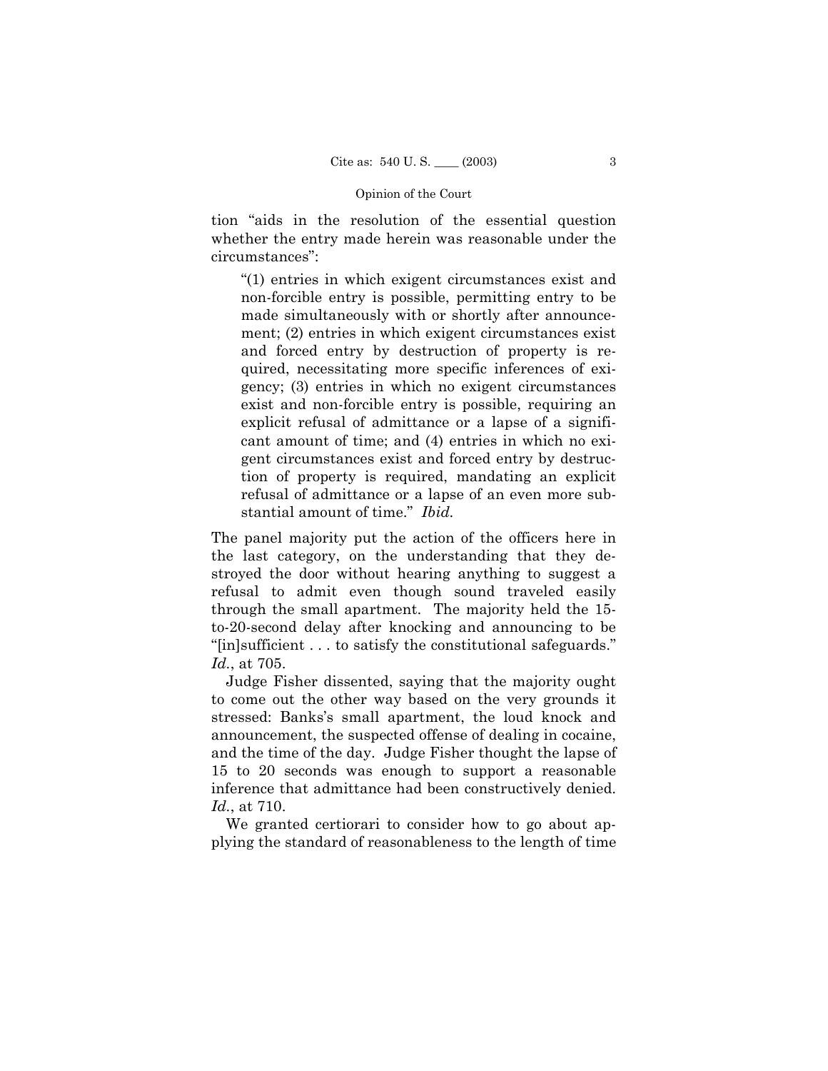tion "aids in the resolution of the essential question whether the entry made herein was reasonable under the circumstances":

"(1) entries in which exigent circumstances exist and non-forcible entry is possible, permitting entry to be made simultaneously with or shortly after announcement; (2) entries in which exigent circumstances exist and forced entry by destruction of property is required, necessitating more specific inferences of exigency; (3) entries in which no exigent circumstances exist and non-forcible entry is possible, requiring an explicit refusal of admittance or a lapse of a significant amount of time; and (4) entries in which no exigent circumstances exist and forced entry by destruction of property is required, mandating an explicit refusal of admittance or a lapse of an even more substantial amount of time." *Ibid.* 

The panel majority put the action of the officers here in the last category, on the understanding that they destroyed the door without hearing anything to suggest a refusal to admit even though sound traveled easily through the small apartment. The majority held the 15 to-20-second delay after knocking and announcing to be "[in]sufficient . . . to satisfy the constitutional safeguards." *Id.*, at 705.

Judge Fisher dissented, saying that the majority ought to come out the other way based on the very grounds it stressed: Banks's small apartment, the loud knock and announcement, the suspected offense of dealing in cocaine, and the time of the day. Judge Fisher thought the lapse of 15 to 20 seconds was enough to support a reasonable inference that admittance had been constructively denied. *Id.*, at 710.

We granted certiorari to consider how to go about applying the standard of reasonableness to the length of time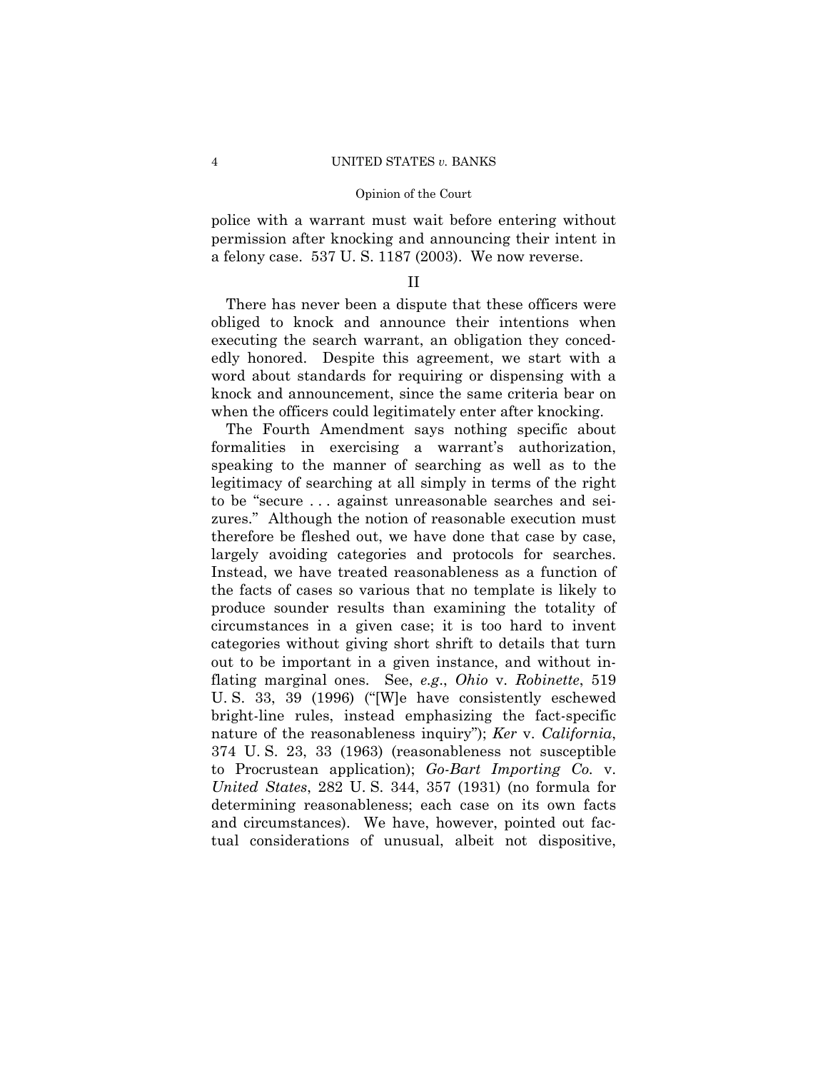police with a warrant must wait before entering without permission after knocking and announcing their intent in a felony case. 537 U. S. 1187 (2003). We now reverse.

## II

There has never been a dispute that these officers were obliged to knock and announce their intentions when executing the search warrant, an obligation they concededly honored. Despite this agreement, we start with a word about standards for requiring or dispensing with a knock and announcement, since the same criteria bear on when the officers could legitimately enter after knocking.

The Fourth Amendment says nothing specific about formalities in exercising a warrant's authorization, speaking to the manner of searching as well as to the legitimacy of searching at all simply in terms of the right to be "secure . . . against unreasonable searches and seizures." Although the notion of reasonable execution must therefore be fleshed out, we have done that case by case, largely avoiding categories and protocols for searches. Instead, we have treated reasonableness as a function of the facts of cases so various that no template is likely to produce sounder results than examining the totality of circumstances in a given case; it is too hard to invent categories without giving short shrift to details that turn out to be important in a given instance, and without inflating marginal ones. See, *e.g*., *Ohio* v. *Robinette*, 519 U. S. 33, 39 (1996) ("[W]e have consistently eschewed bright-line rules, instead emphasizing the fact-specific nature of the reasonableness inquiry"); *Ker* v. *California*, 374 U. S. 23, 33 (1963) (reasonableness not susceptible to Procrustean application); *Go-Bart Importing Co.* v. *United States*, 282 U. S. 344, 357 (1931) (no formula for determining reasonableness; each case on its own facts and circumstances). We have, however, pointed out factual considerations of unusual, albeit not dispositive,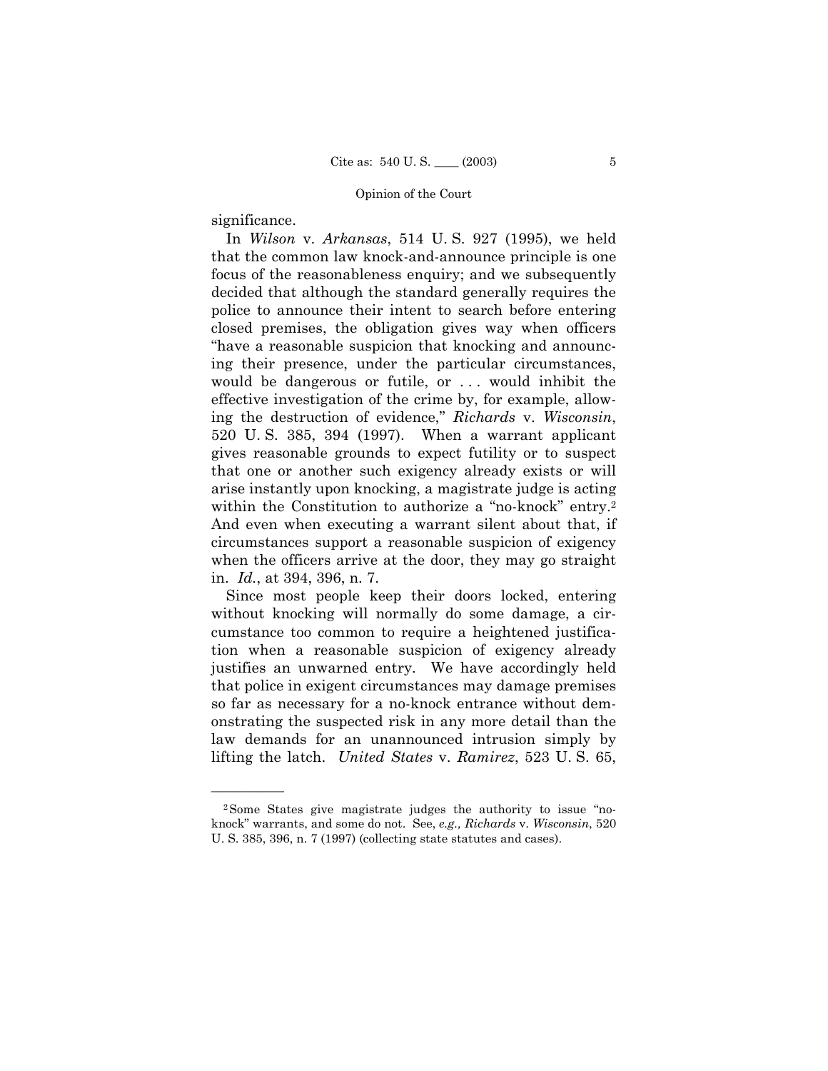significance.

——————

In *Wilson* v. *Arkansas*, 514 U. S. 927 (1995), we held that the common law knock-and-announce principle is one focus of the reasonableness enquiry; and we subsequently decided that although the standard generally requires the police to announce their intent to search before entering closed premises, the obligation gives way when officers "have a reasonable suspicion that knocking and announcing their presence, under the particular circumstances, would be dangerous or futile, or . . . would inhibit the effective investigation of the crime by, for example, allowing the destruction of evidence," *Richards* v. *Wisconsin*, 520 U. S. 385, 394 (1997). When a warrant applicant gives reasonable grounds to expect futility or to suspect that one or another such exigency already exists or will arise instantly upon knocking, a magistrate judge is acting within the Constitution to authorize a "no-knock" entry.<sup>2</sup> And even when executing a warrant silent about that, if circumstances support a reasonable suspicion of exigency when the officers arrive at the door, they may go straight in. *Id.*, at 394, 396, n. 7.

Since most people keep their doors locked, entering without knocking will normally do some damage, a circumstance too common to require a heightened justification when a reasonable suspicion of exigency already justifies an unwarned entry. We have accordingly held that police in exigent circumstances may damage premises so far as necessary for a no-knock entrance without demonstrating the suspected risk in any more detail than the law demands for an unannounced intrusion simply by lifting the latch. *United States* v. *Ramirez*, 523 U. S. 65,

<sup>2</sup>Some States give magistrate judges the authority to issue "noknock" warrants, and some do not. See, *e.g., Richards* v. *Wisconsin*, 520 U. S. 385, 396, n. 7 (1997) (collecting state statutes and cases).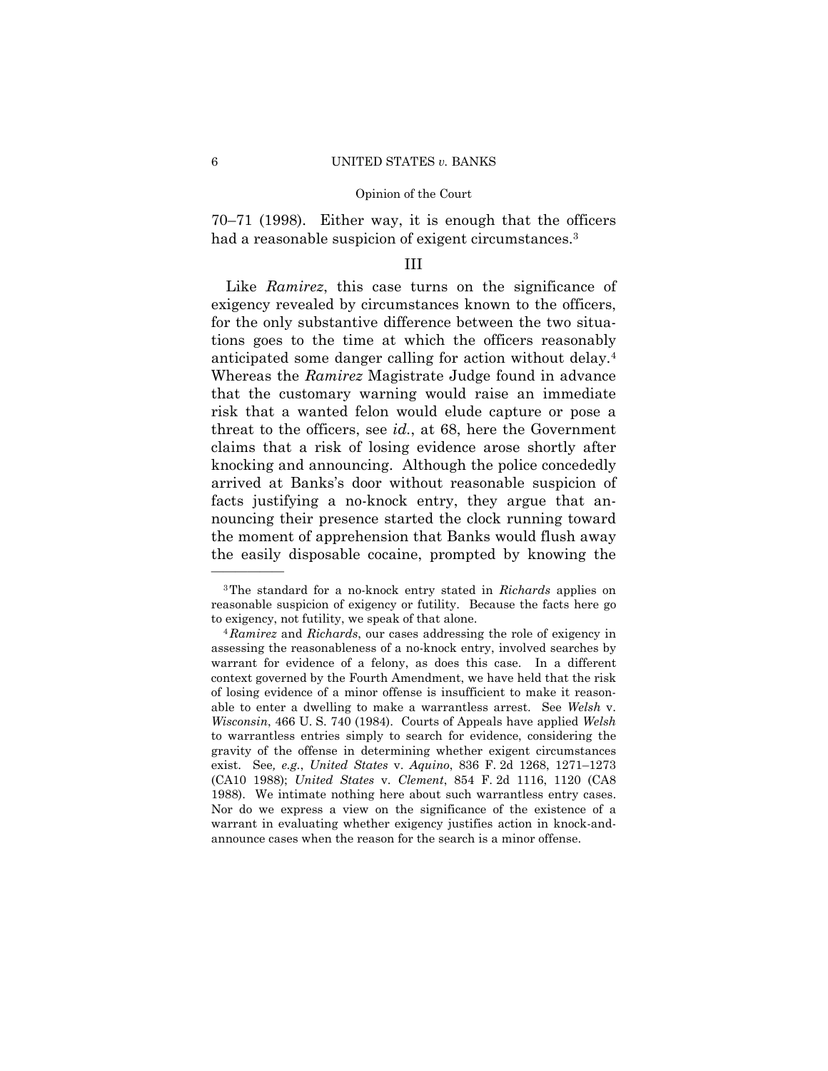70–71 (1998). Either way, it is enough that the officers had a reasonable suspicion of exigent circumstances.<sup>3</sup>

## III

Like *Ramirez*, this case turns on the significance of exigency revealed by circumstances known to the officers, for the only substantive difference between the two situations goes to the time at which the officers reasonably anticipated some danger calling for action without delay.4 Whereas the *Ramirez* Magistrate Judge found in advance that the customary warning would raise an immediate risk that a wanted felon would elude capture or pose a threat to the officers, see *id.*, at 68, here the Government claims that a risk of losing evidence arose shortly after knocking and announcing. Although the police concededly arrived at Banks's door without reasonable suspicion of facts justifying a no-knock entry, they argue that announcing their presence started the clock running toward the moment of apprehension that Banks would flush away the easily disposable cocaine, prompted by knowing the

<sup>3</sup>The standard for a no-knock entry stated in *Richards* applies on reasonable suspicion of exigency or futility. Because the facts here go to exigency, not futility, we speak of that alone. 4 *Ramirez* and *Richards*, our cases addressing the role of exigency in

assessing the reasonableness of a no-knock entry, involved searches by warrant for evidence of a felony, as does this case. In a different context governed by the Fourth Amendment, we have held that the risk of losing evidence of a minor offense is insufficient to make it reasonable to enter a dwelling to make a warrantless arrest. See *Welsh* v. *Wisconsin*, 466 U. S. 740 (1984). Courts of Appeals have applied *Welsh*  to warrantless entries simply to search for evidence, considering the gravity of the offense in determining whether exigent circumstances exist. See*, e.g.*, *United States* v. *Aquino*, 836 F. 2d 1268, 1271–1273 (CA10 1988); *United States* v. *Clement*, 854 F. 2d 1116, 1120 (CA8 1988). We intimate nothing here about such warrantless entry cases. Nor do we express a view on the significance of the existence of a warrant in evaluating whether exigency justifies action in knock-andannounce cases when the reason for the search is a minor offense.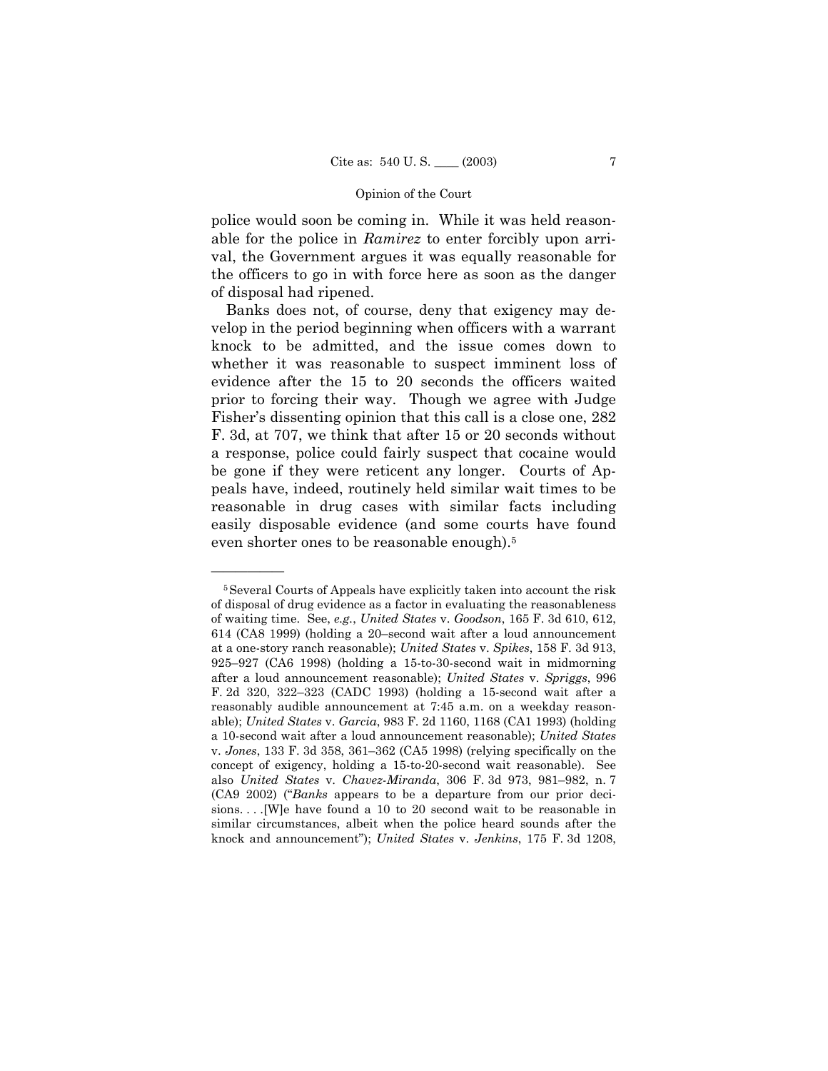police would soon be coming in. While it was held reasonable for the police in *Ramirez* to enter forcibly upon arrival, the Government argues it was equally reasonable for the officers to go in with force here as soon as the danger of disposal had ripened.

Banks does not, of course, deny that exigency may develop in the period beginning when officers with a warrant knock to be admitted, and the issue comes down to whether it was reasonable to suspect imminent loss of evidence after the 15 to 20 seconds the officers waited prior to forcing their way. Though we agree with Judge Fisher's dissenting opinion that this call is a close one, 282 F. 3d, at 707, we think that after 15 or 20 seconds without a response, police could fairly suspect that cocaine would be gone if they were reticent any longer. Courts of Appeals have, indeed, routinely held similar wait times to be reasonable in drug cases with similar facts including easily disposable evidence (and some courts have found even shorter ones to be reasonable enough).5

<sup>5</sup>Several Courts of Appeals have explicitly taken into account the risk of disposal of drug evidence as a factor in evaluating the reasonableness of waiting time. See, *e.g.*, *United States* v. *Goodson*, 165 F. 3d 610, 612, 614 (CA8 1999) (holding a 20–second wait after a loud announcement at a one-story ranch reasonable); *United States* v. *Spikes*, 158 F. 3d 913, 925–927 (CA6 1998) (holding a 15-to-30-second wait in midmorning after a loud announcement reasonable); *United States* v. *Spriggs*, 996 F. 2d 320, 322–323 (CADC 1993) (holding a 15-second wait after a reasonably audible announcement at 7:45 a.m. on a weekday reasonable); *United States* v. *Garcia*, 983 F. 2d 1160, 1168 (CA1 1993) (holding a 10-second wait after a loud announcement reasonable); *United States*  v. *Jones*, 133 F. 3d 358, 361–362 (CA5 1998) (relying specifically on the concept of exigency, holding a 15-to-20-second wait reasonable). See also *United States* v. *Chavez-Miranda*, 306 F. 3d 973, 981–982, n. 7 (CA9 2002) ("*Banks* appears to be a departure from our prior decisions. . . .[W]e have found a 10 to 20 second wait to be reasonable in similar circumstances, albeit when the police heard sounds after the knock and announcement"); *United States* v. *Jenkins*, 175 F. 3d 1208,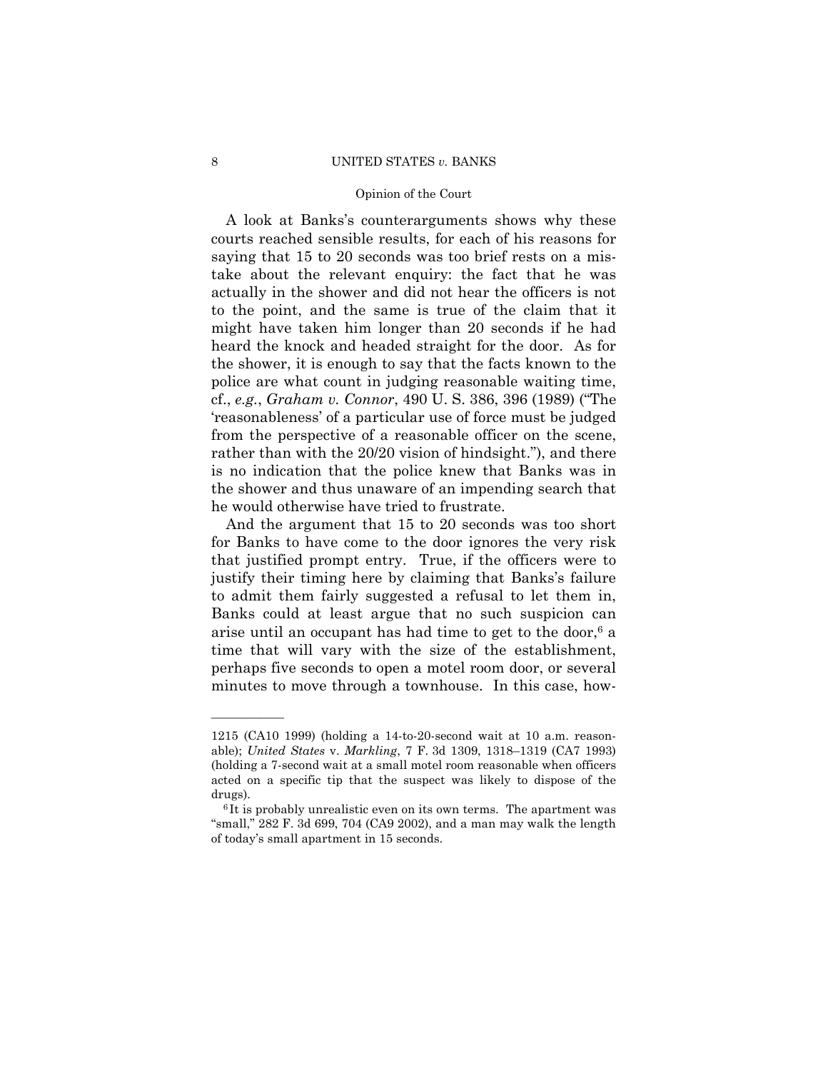#### 8 UNITED STATES *v.* BANKS

#### Opinion of the Court

A look at Banks's counterarguments shows why these courts reached sensible results, for each of his reasons for saying that 15 to 20 seconds was too brief rests on a mistake about the relevant enquiry: the fact that he was actually in the shower and did not hear the officers is not to the point, and the same is true of the claim that it might have taken him longer than 20 seconds if he had heard the knock and headed straight for the door. As for the shower, it is enough to say that the facts known to the police are what count in judging reasonable waiting time, cf., *e.g.*, *Graham v. Connor*, 490 U. S. 386, 396 (1989) ("The 'reasonableness' of a particular use of force must be judged from the perspective of a reasonable officer on the scene, rather than with the 20/20 vision of hindsight."), and there is no indication that the police knew that Banks was in the shower and thus unaware of an impending search that he would otherwise have tried to frustrate.

And the argument that 15 to 20 seconds was too short for Banks to have come to the door ignores the very risk that justified prompt entry. True, if the officers were to justify their timing here by claiming that Banks's failure to admit them fairly suggested a refusal to let them in, Banks could at least argue that no such suspicion can arise until an occupant has had time to get to the door, $6a$ time that will vary with the size of the establishment, perhaps five seconds to open a motel room door, or several minutes to move through a townhouse. In this case, how-

<sup>1215 (</sup>CA10 1999) (holding a 14-to-20-second wait at 10 a.m. reasonable); *United States* v. *Markling*, 7 F. 3d 1309, 1318–1319 (CA7 1993) (holding a 7-second wait at a small motel room reasonable when officers acted on a specific tip that the suspect was likely to dispose of the drugs).<br><sup>6</sup> It is probably unrealistic even on its own terms. The apartment was

<sup>&</sup>quot;small," 282 F. 3d 699, 704 (CA9 2002), and a man may walk the length of today's small apartment in 15 seconds.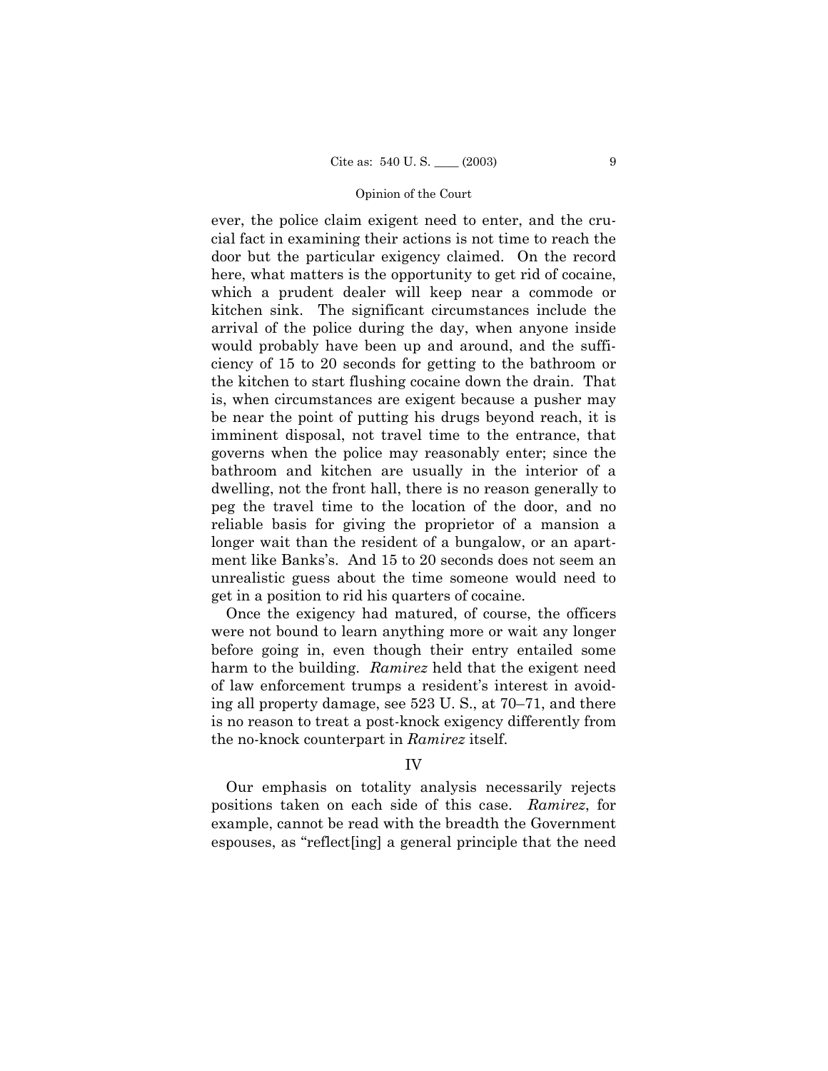ever, the police claim exigent need to enter, and the crucial fact in examining their actions is not time to reach the door but the particular exigency claimed. On the record here, what matters is the opportunity to get rid of cocaine, which a prudent dealer will keep near a commode or kitchen sink. The significant circumstances include the arrival of the police during the day, when anyone inside would probably have been up and around, and the sufficiency of 15 to 20 seconds for getting to the bathroom or the kitchen to start flushing cocaine down the drain. That is, when circumstances are exigent because a pusher may be near the point of putting his drugs beyond reach, it is imminent disposal, not travel time to the entrance, that governs when the police may reasonably enter; since the bathroom and kitchen are usually in the interior of a dwelling, not the front hall, there is no reason generally to peg the travel time to the location of the door, and no reliable basis for giving the proprietor of a mansion a longer wait than the resident of a bungalow, or an apartment like Banks's. And 15 to 20 seconds does not seem an unrealistic guess about the time someone would need to get in a position to rid his quarters of cocaine.

Once the exigency had matured, of course, the officers were not bound to learn anything more or wait any longer before going in, even though their entry entailed some harm to the building. *Ramirez* held that the exigent need of law enforcement trumps a resident's interest in avoiding all property damage, see 523 U. S., at 70–71, and there is no reason to treat a post-knock exigency differently from the no-knock counterpart in *Ramirez* itself.

## IV

Our emphasis on totality analysis necessarily rejects positions taken on each side of this case. *Ramirez*, for example, cannot be read with the breadth the Government espouses, as "reflect[ing] a general principle that the need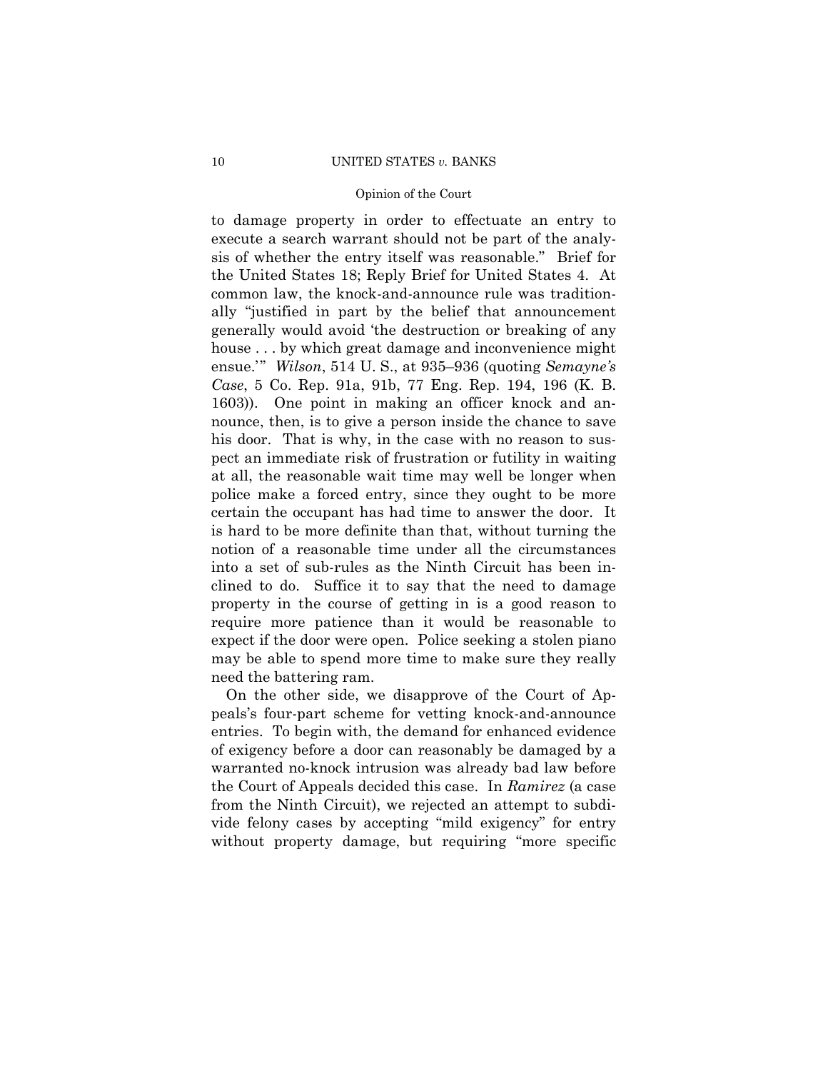## 10 UNITED STATES *v.* BANKS

#### Opinion of the Court

to damage property in order to effectuate an entry to execute a search warrant should not be part of the analysis of whether the entry itself was reasonable." Brief for the United States 18; Reply Brief for United States 4. At common law, the knock-and-announce rule was traditionally "justified in part by the belief that announcement generally would avoid 'the destruction or breaking of any house . . . by which great damage and inconvenience might ensue.'" *Wilson*, 514 U. S., at 935–936 (quoting *Semayne's Case*, 5 Co. Rep. 91a, 91b, 77 Eng. Rep. 194, 196 (K. B. 1603)). One point in making an officer knock and announce, then, is to give a person inside the chance to save his door. That is why, in the case with no reason to suspect an immediate risk of frustration or futility in waiting at all, the reasonable wait time may well be longer when police make a forced entry, since they ought to be more certain the occupant has had time to answer the door. It is hard to be more definite than that, without turning the notion of a reasonable time under all the circumstances into a set of sub-rules as the Ninth Circuit has been inclined to do. Suffice it to say that the need to damage property in the course of getting in is a good reason to require more patience than it would be reasonable to expect if the door were open. Police seeking a stolen piano may be able to spend more time to make sure they really need the battering ram.

On the other side, we disapprove of the Court of Appeals's four-part scheme for vetting knock-and-announce entries. To begin with, the demand for enhanced evidence of exigency before a door can reasonably be damaged by a warranted no-knock intrusion was already bad law before the Court of Appeals decided this case. In *Ramirez* (a case from the Ninth Circuit), we rejected an attempt to subdivide felony cases by accepting "mild exigency" for entry without property damage, but requiring "more specific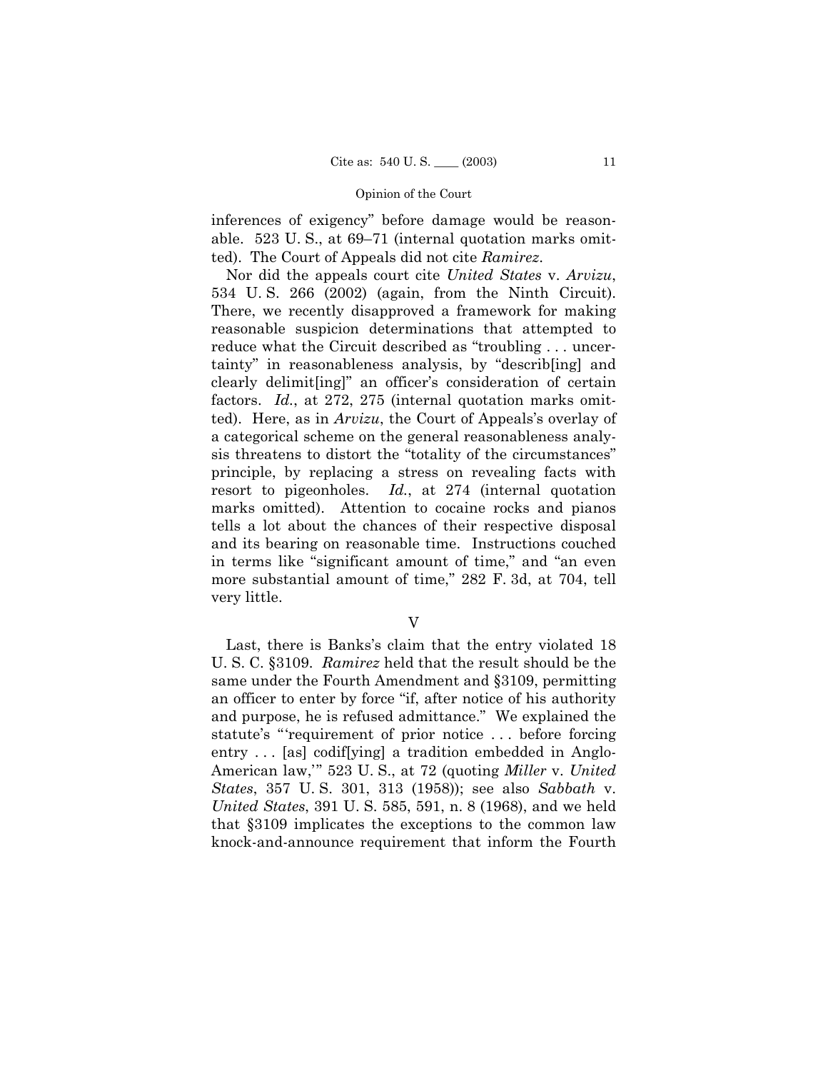inferences of exigency" before damage would be reasonable. 523 U. S., at 69–71 (internal quotation marks omitted). The Court of Appeals did not cite *Ramirez*.

Nor did the appeals court cite *United States* v. *Arvizu*, 534 U. S. 266 (2002) (again, from the Ninth Circuit). There, we recently disapproved a framework for making reasonable suspicion determinations that attempted to reduce what the Circuit described as "troubling . . . uncertainty" in reasonableness analysis, by "describ[ing] and clearly delimit[ing]" an officer's consideration of certain factors. *Id.*, at 272, 275 (internal quotation marks omitted). Here, as in *Arvizu*, the Court of Appeals's overlay of a categorical scheme on the general reasonableness analysis threatens to distort the "totality of the circumstances" principle, by replacing a stress on revealing facts with resort to pigeonholes. *Id.*, at 274 (internal quotation marks omitted). Attention to cocaine rocks and pianos tells a lot about the chances of their respective disposal and its bearing on reasonable time. Instructions couched in terms like "significant amount of time," and "an even more substantial amount of time," 282 F. 3d, at 704, tell very little.

V

Last, there is Banks's claim that the entry violated 18 U. S. C. §3109. *Ramirez* held that the result should be the same under the Fourth Amendment and §3109, permitting an officer to enter by force "if, after notice of his authority and purpose, he is refused admittance." We explained the statute's "'requirement of prior notice . . . before forcing entry ... [as] codif[ying] a tradition embedded in Anglo-American law,'" 523 U. S., at 72 (quoting *Miller* v. *United States*, 357 U. S. 301, 313 (1958)); see also *Sabbath* v. *United States*, 391 U. S. 585, 591, n. 8 (1968), and we held that §3109 implicates the exceptions to the common law knock-and-announce requirement that inform the Fourth